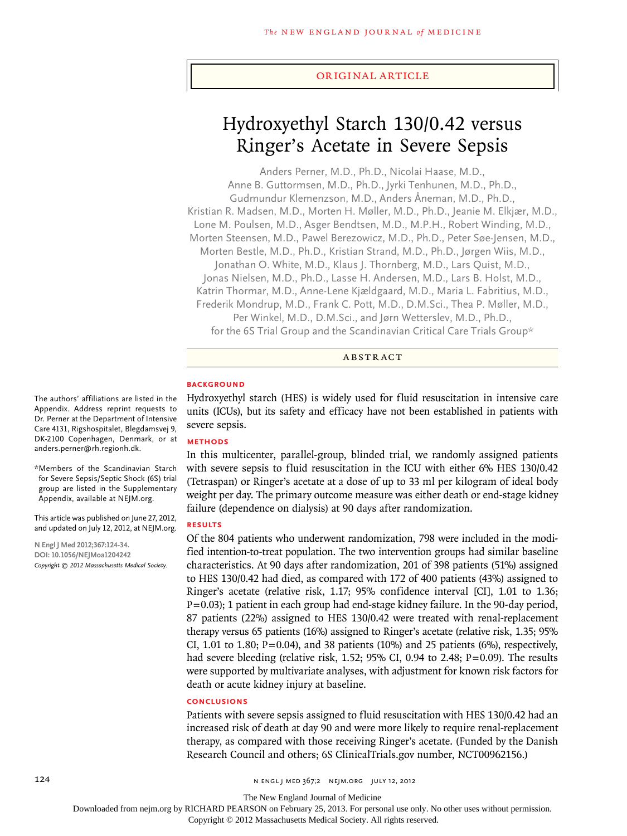### original article

# Hydroxyethyl Starch 130/0.42 versus Ringer's Acetate in Severe Sepsis

Anders Perner, M.D., Ph.D., Nicolai Haase, M.D., Anne B. Guttormsen, M.D., Ph.D., Jyrki Tenhunen, M.D., Ph.D., Gudmundur Klemenzson, M.D., Anders Åneman, M.D., Ph.D., Kristian R. Madsen, M.D., Morten H. Møller, M.D., Ph.D., Jeanie M. Elkjær, M.D., Lone M. Poulsen, M.D., Asger Bendtsen, M.D., M.P.H., Robert Winding, M.D., Morten Steensen, M.D., Pawel Berezowicz, M.D., Ph.D., Peter Søe-Jensen, M.D., Morten Bestle, M.D., Ph.D., Kristian Strand, M.D., Ph.D., Jørgen Wiis, M.D., Jonathan O. White, M.D., Klaus J. Thornberg, M.D., Lars Quist, M.D., Jonas Nielsen, M.D., Ph.D., Lasse H. Andersen, M.D., Lars B. Holst, M.D., Katrin Thormar, M.D., Anne-Lene Kjældgaard, M.D., Maria L. Fabritius, M.D., Frederik Mondrup, M.D., Frank C. Pott, M.D., D.M.Sci., Thea P. Møller, M.D., Per Winkel, M.D., D.M.Sci., and Jørn Wetterslev, M.D., Ph.D., for the 6S Trial Group and the Scandinavian Critical Care Trials Group\*

# **ABSTRACT**

# **BACKGROUND**

Hydroxyethyl starch (HES) is widely used for fluid resuscitation in intensive care units (ICUs), but its safety and efficacy have not been established in patients with severe sepsis.

# **Methods**

In this multicenter, parallel-group, blinded trial, we randomly assigned patients with severe sepsis to fluid resuscitation in the ICU with either 6% HES 130/0.42 (Tetraspan) or Ringer's acetate at a dose of up to 33 ml per kilogram of ideal body weight per day. The primary outcome measure was either death or end-stage kidney failure (dependence on dialysis) at 90 days after randomization.

# **RESULTS**

Of the 804 patients who underwent randomization, 798 were included in the modified intention-to-treat population. The two intervention groups had similar baseline characteristics. At 90 days after randomization, 201 of 398 patients (51%) assigned to HES 130/0.42 had died, as compared with 172 of 400 patients (43%) assigned to Ringer's acetate (relative risk, 1.17; 95% confidence interval [CI], 1.01 to 1.36; P=0.03); 1 patient in each group had end-stage kidney failure. In the 90-day period, 87 patients (22%) assigned to HES 130/0.42 were treated with renal-replacement therapy versus 65 patients (16%) assigned to Ringer's acetate (relative risk, 1.35; 95% CI, 1.01 to 1.80; P=0.04), and 38 patients (10%) and 25 patients (6%), respectively, had severe bleeding (relative risk, 1.52; 95% CI, 0.94 to 2.48; P=0.09). The results were supported by multivariate analyses, with adjustment for known risk factors for death or acute kidney injury at baseline.

### **CONCLUSIONS**

Patients with severe sepsis assigned to fluid resuscitation with HES 130/0.42 had an increased risk of death at day 90 and were more likely to require renal-replacement therapy, as compared with those receiving Ringer's acetate. (Funded by the Danish Research Council and others; 6S ClinicalTrials.gov number, NCT00962156.)

The authors' affiliations are listed in the Appendix. Address reprint requests to Dr. Perner at the Department of Intensive Care 4131, Rigshospitalet, Blegdamsvej 9, DK-2100 Copenhagen, Denmark, or at anders.perner@rh.regionh.dk.

\*Members of the Scandinavian Starch for Severe Sepsis/Septic Shock (6S) trial group are listed in the Supplementary Appendix, available at NEJM.org.

This article was published on June 27, 2012, and updated on July 12, 2012, at NEJM.org.

**N Engl J Med 2012;367:124-34. DOI: 10.1056/NEJMoa1204242** *Copyright © 2012 Massachusetts Medical Society.*

The New England Journal of Medicine

Downloaded from nejm.org by RICHARD PEARSON on February 25, 2013. For personal use only. No other uses without permission.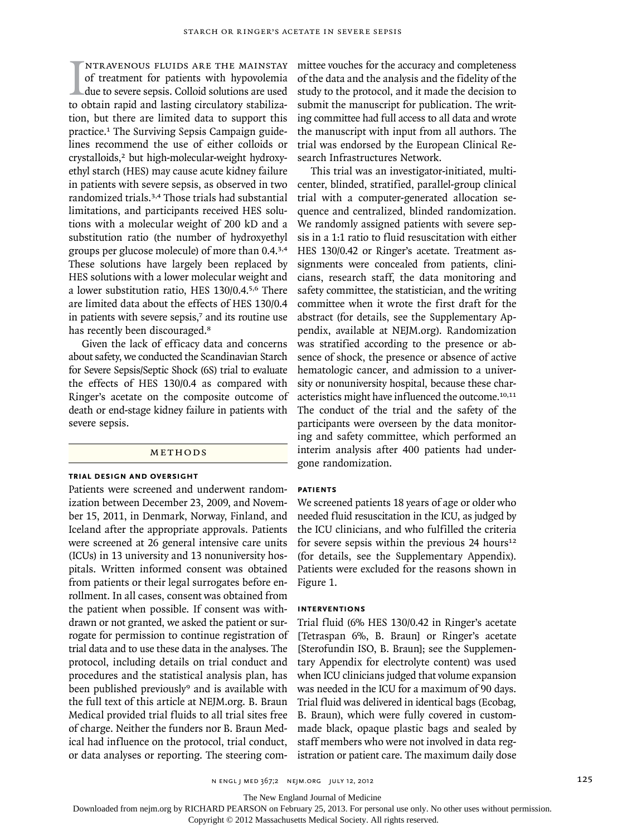$\prod_{\text{to c}}$ ntravenous fluids are the mainstay of treatment for patients with hypovolemia due to severe sepsis. Colloid solutions are used to obtain rapid and lasting circulatory stabilization, but there are limited data to support this practice.1 The Surviving Sepsis Campaign guidelines recommend the use of either colloids or crystalloids,<sup>2</sup> but high-molecular-weight hydroxyethyl starch (HES) may cause acute kidney failure in patients with severe sepsis, as observed in two randomized trials.3,4 Those trials had substantial limitations, and participants received HES solutions with a molecular weight of 200 kD and a substitution ratio (the number of hydroxyethyl groups per glucose molecule) of more than 0.4.3,4 These solutions have largely been replaced by HES solutions with a lower molecular weight and a lower substitution ratio, HES 130/0.4.5,6 There are limited data about the effects of HES 130/0.4 in patients with severe sepsis,<sup>7</sup> and its routine use has recently been discouraged.<sup>8</sup>

Given the lack of efficacy data and concerns about safety, we conducted the Scandinavian Starch for Severe Sepsis/Septic Shock (6S) trial to evaluate the effects of HES 130/0.4 as compared with Ringer's acetate on the composite outcome of death or end-stage kidney failure in patients with severe sepsis.

#### ME THODS

# **Trial Design and Oversight**

Patients were screened and underwent randomization between December 23, 2009, and November 15, 2011, in Denmark, Norway, Finland, and Iceland after the appropriate approvals. Patients were screened at 26 general intensive care units (ICUs) in 13 university and 13 nonuniversity hospitals. Written informed consent was obtained from patients or their legal surrogates before enrollment. In all cases, consent was obtained from the patient when possible. If consent was withdrawn or not granted, we asked the patient or surrogate for permission to continue registration of trial data and to use these data in the analyses. The protocol, including details on trial conduct and procedures and the statistical analysis plan, has been published previously<sup>9</sup> and is available with the full text of this article at NEJM.org. B. Braun Medical provided trial fluids to all trial sites free of charge. Neither the funders nor B. Braun Medical had influence on the protocol, trial conduct, or data analyses or reporting. The steering committee vouches for the accuracy and completeness of the data and the analysis and the fidelity of the study to the protocol, and it made the decision to submit the manuscript for publication. The writing committee had full access to all data and wrote the manuscript with input from all authors. The trial was endorsed by the European Clinical Research Infrastructures Network.

This trial was an investigator-initiated, multicenter, blinded, stratified, parallel-group clinical trial with a computer-generated allocation sequence and centralized, blinded randomization. We randomly assigned patients with severe sepsis in a 1:1 ratio to fluid resuscitation with either HES 130/0.42 or Ringer's acetate. Treatment assignments were concealed from patients, clinicians, research staff, the data monitoring and safety committee, the statistician, and the writing committee when it wrote the first draft for the abstract (for details, see the Supplementary Appendix, available at NEJM.org). Randomization was stratified according to the presence or absence of shock, the presence or absence of active hematologic cancer, and admission to a university or nonuniversity hospital, because these characteristics might have influenced the outcome.10,11 The conduct of the trial and the safety of the participants were overseen by the data monitoring and safety committee, which performed an interim analysis after 400 patients had undergone randomization.

### **Patients**

We screened patients 18 years of age or older who needed fluid resuscitation in the ICU, as judged by the ICU clinicians, and who fulfilled the criteria for severe sepsis within the previous  $24$  hours<sup>12</sup> (for details, see the Supplementary Appendix). Patients were excluded for the reasons shown in Figure 1.

### **Interventions**

Trial fluid (6% HES 130/0.42 in Ringer's acetate [Tetraspan 6%, B. Braun] or Ringer's acetate [Sterofundin ISO, B. Braun]; see the Supplementary Appendix for electrolyte content) was used when ICU clinicians judged that volume expansion was needed in the ICU for a maximum of 90 days. Trial fluid was delivered in identical bags (Ecobag, B. Braun), which were fully covered in custommade black, opaque plastic bags and sealed by staff members who were not involved in data registration or patient care. The maximum daily dose

The New England Journal of Medicine

Downloaded from nejm.org by RICHARD PEARSON on February 25, 2013. For personal use only. No other uses without permission.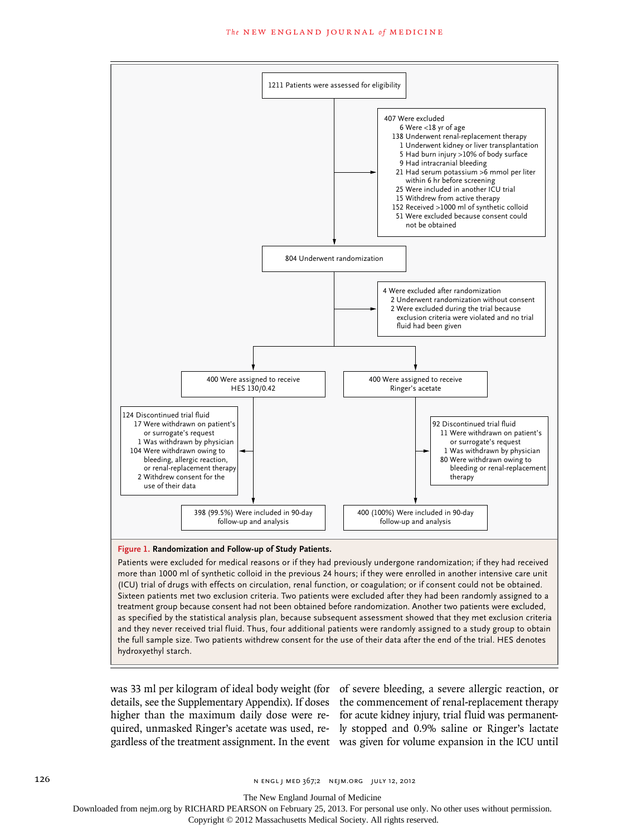

more than 1000 ml of synthetic colloid in the previous 24 hours; if they were enrolled in another intensive care unit (ICU) trial of drugs with effects on circulation, renal function, or coagulation; or if consent could not be obtained. Sixteen patients met two exclusion criteria. Two patients were excluded after they had been randomly assigned to a treatment group because consent had not been obtained before randomization. Another two patients were excluded, as specified by the statistical analysis plan, because subsequent assessment showed that they met exclusion criteria and they never received trial fluid. Thus, four additional patients were randomly assigned to a study group to obtain the full sample size. Two patients withdrew consent for the use of their data after the end of the trial. HES denotes hydroxyethyl starch.

was 33 ml per kilogram of ideal body weight (for of severe bleeding, a severe allergic reaction, or

details, see the Supplementary Appendix). If doses the commencement of renal-replacement therapy higher than the maximum daily dose were re-for acute kidney injury, trial fluid was permanentquired, unmasked Ringer's acetate was used, re-ly stopped and 0.9% saline or Ringer's lactate gardless of the treatment assignment. In the event was given for volume expansion in the ICU until

The New England Journal of Medicine

Downloaded from nejm.org by RICHARD PEARSON on February 25, 2013. For personal use only. No other uses without permission.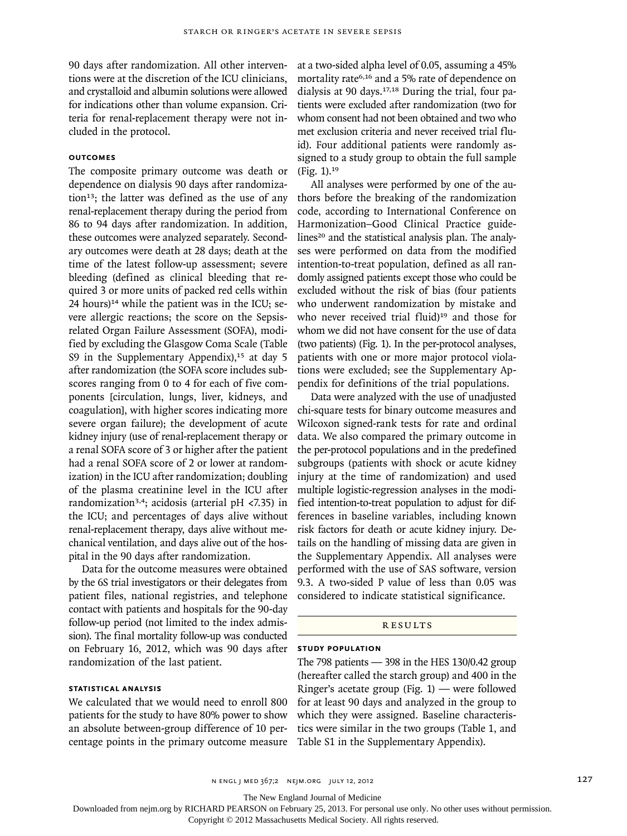90 days after randomization. All other interventions were at the discretion of the ICU clinicians, and crystalloid and albumin solutions were allowed for indications other than volume expansion. Criteria for renal-replacement therapy were not included in the protocol.

# **Outcomes**

The composite primary outcome was death or dependence on dialysis 90 days after randomization<sup>13</sup>; the latter was defined as the use of any renal-replacement therapy during the period from 86 to 94 days after randomization. In addition, these outcomes were analyzed separately. Secondary outcomes were death at 28 days; death at the time of the latest follow-up assessment; severe bleeding (defined as clinical bleeding that required 3 or more units of packed red cells within  $24$  hours)<sup>14</sup> while the patient was in the ICU; severe allergic reactions; the score on the Sepsisrelated Organ Failure Assessment (SOFA), modified by excluding the Glasgow Coma Scale (Table S9 in the Supplementary Appendix), $15$  at day 5 after randomization (the SOFA score includes subscores ranging from 0 to 4 for each of five components [circulation, lungs, liver, kidneys, and coagulation], with higher scores indicating more severe organ failure); the development of acute kidney injury (use of renal-replacement therapy or a renal SOFA score of 3 or higher after the patient had a renal SOFA score of 2 or lower at randomization) in the ICU after randomization; doubling of the plasma creatinine level in the ICU after randomization3,4; acidosis (arterial pH <7.35) in the ICU; and percentages of days alive without renal-replacement therapy, days alive without mechanical ventilation, and days alive out of the hospital in the 90 days after randomization.

Data for the outcome measures were obtained by the 6S trial investigators or their delegates from patient files, national registries, and telephone contact with patients and hospitals for the 90-day follow-up period (not limited to the index admission). The final mortality follow-up was conducted on February 16, 2012, which was 90 days after randomization of the last patient.

# **Statistical Analysis**

We calculated that we would need to enroll 800 patients for the study to have 80% power to show an absolute between-group difference of 10 percentage points in the primary outcome measure at a two-sided alpha level of 0.05, assuming a 45% mortality rate<sup>6,16</sup> and a 5% rate of dependence on dialysis at 90 days.17,18 During the trial, four patients were excluded after randomization (two for whom consent had not been obtained and two who met exclusion criteria and never received trial fluid). Four additional patients were randomly assigned to a study group to obtain the full sample (Fig. 1).<sup>19</sup>

All analyses were performed by one of the authors before the breaking of the randomization code, according to International Conference on Harmonization–Good Clinical Practice guidelines<sup>20</sup> and the statistical analysis plan. The analyses were performed on data from the modified intention-to-treat population, defined as all randomly assigned patients except those who could be excluded without the risk of bias (four patients who underwent randomization by mistake and who never received trial fluid)<sup>19</sup> and those for whom we did not have consent for the use of data (two patients) (Fig. 1). In the per-protocol analyses, patients with one or more major protocol violations were excluded; see the Supplementary Appendix for definitions of the trial populations.

Data were analyzed with the use of unadjusted chi-square tests for binary outcome measures and Wilcoxon signed-rank tests for rate and ordinal data. We also compared the primary outcome in the per-protocol populations and in the predefined subgroups (patients with shock or acute kidney injury at the time of randomization) and used multiple logistic-regression analyses in the modified intention-to-treat population to adjust for differences in baseline variables, including known risk factors for death or acute kidney injury. Details on the handling of missing data are given in the Supplementary Appendix. All analyses were performed with the use of SAS software, version 9.3. A two-sided P value of less than 0.05 was considered to indicate statistical significance.

# **RESULTS**

#### **Study Population**

The 798 patients  $-$  398 in the HES 130/0.42 group (hereafter called the starch group) and 400 in the Ringer's acetate group (Fig. 1) — were followed for at least 90 days and analyzed in the group to which they were assigned. Baseline characteristics were similar in the two groups (Table 1, and Table S1 in the Supplementary Appendix).

n engl j med 367;2 nejm.org july 12, 2012 127

The New England Journal of Medicine

Downloaded from nejm.org by RICHARD PEARSON on February 25, 2013. For personal use only. No other uses without permission.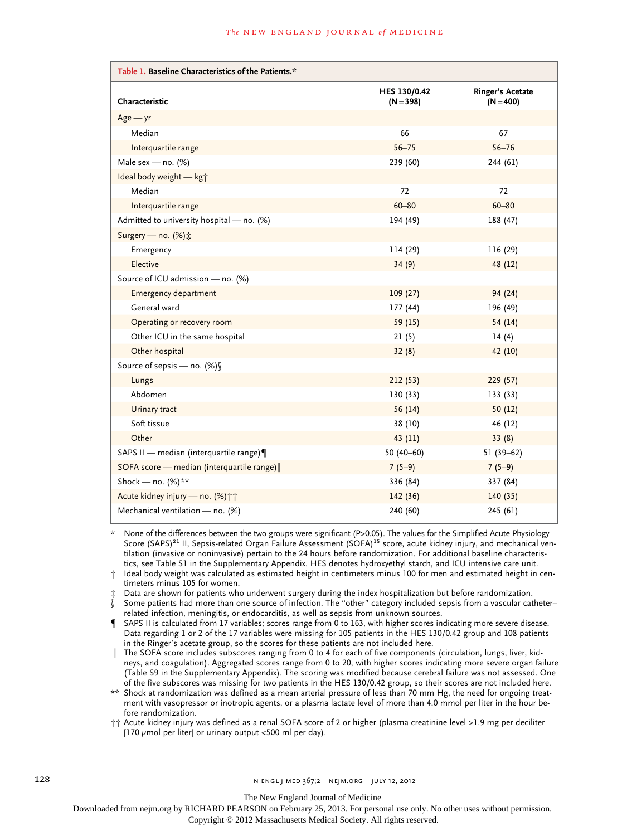| Table 1. Baseline Characteristics of the Patients.* |                             |                                 |  |  |  |  |
|-----------------------------------------------------|-----------------------------|---------------------------------|--|--|--|--|
| Characteristic                                      | HES 130/0.42<br>$(N = 398)$ | Ringer's Acetate<br>$(N = 400)$ |  |  |  |  |
| $Age - yr$                                          |                             |                                 |  |  |  |  |
| Median                                              | 66                          | 67                              |  |  |  |  |
| Interquartile range                                 | $56 - 75$                   | $56 - 76$                       |  |  |  |  |
| Male sex - no. $(%)$                                | 239 (60)                    | 244 (61)                        |  |  |  |  |
| Ideal body weight - kgj                             |                             |                                 |  |  |  |  |
| Median                                              | 72                          | 72                              |  |  |  |  |
| Interquartile range                                 | $60 - 80$                   | $60 - 80$                       |  |  |  |  |
| Admitted to university hospital - no. (%)           | 194 (49)                    | 188 (47)                        |  |  |  |  |
| Surgery - no. (%) ;                                 |                             |                                 |  |  |  |  |
| Emergency                                           | 114 (29)                    | 116 (29)                        |  |  |  |  |
| Elective                                            | 34(9)                       | 48 (12)                         |  |  |  |  |
| Source of ICU admission - no. (%)                   |                             |                                 |  |  |  |  |
| Emergency department                                | 109(27)                     | 94 (24)                         |  |  |  |  |
| General ward                                        | 177 (44)                    | 196 (49)                        |  |  |  |  |
| Operating or recovery room                          | 59(15)                      | 54(14)                          |  |  |  |  |
| Other ICU in the same hospital                      | 21(5)                       | 14(4)                           |  |  |  |  |
| Other hospital                                      | 32(8)                       | 42 (10)                         |  |  |  |  |
| Source of sepsis - no. (%) §                        |                             |                                 |  |  |  |  |
| Lungs                                               | 212(53)                     | 229(57)                         |  |  |  |  |
| Abdomen                                             | 130 (33)                    | 133 (33)                        |  |  |  |  |
| Urinary tract                                       | 56(14)                      | 50(12)                          |  |  |  |  |
| Soft tissue                                         | 38 (10)                     | 46 (12)                         |  |  |  |  |
| Other                                               | 43 (11)                     | 33(8)                           |  |  |  |  |
| SAPS II - median (interquartile range)              | 50 $(40-60)$                | $51(39-62)$                     |  |  |  |  |
| SOFA score - median (interquartile range)           | $7(5-9)$                    | $7(5-9)$                        |  |  |  |  |
| Shock - no. (%)**                                   | 336 (84)                    | 337 (84)                        |  |  |  |  |
| Acute kidney injury - no. (%) ††                    | 142(36)                     | 140(35)                         |  |  |  |  |
| Mechanical ventilation - no. (%)                    | 240 (60)                    | 245 (61)                        |  |  |  |  |

None of the differences between the two groups were significant (P>0.05). The values for the Simplified Acute Physiology Score (SAPS)<sup>21</sup> II, Sepsis-related Organ Failure Assessment (SOFA)<sup>15</sup> score, acute kidney injury, and mechanical ventilation (invasive or noninvasive) pertain to the 24 hours before randomization. For additional baseline characteristics, see Table S1 in the Supplementary Appendix. HES denotes hydroxyethyl starch, and ICU intensive care unit.

Ideal body weight was calculated as estimated height in centimeters minus 100 for men and estimated height in centimeters minus 105 for women.

‡ Data are shown for patients who underwent surgery during the index hospitalization but before randomization.

§ Some patients had more than one source of infection. The "other" category included sepsis from a vascular catheter– related infection, meningitis, or endocarditis, as well as sepsis from unknown sources.

¶ SAPS II is calculated from 17 variables; scores range from 0 to 163, with higher scores indicating more severe disease. Data regarding 1 or 2 of the 17 variables were missing for 105 patients in the HES 130/0.42 group and 108 patients in the Ringer's acetate group, so the scores for these patients are not included here.

The SOFA score includes subscores ranging from 0 to 4 for each of five components (circulation, lungs, liver, kidneys, and coagulation). Aggregated scores range from 0 to 20, with higher scores indicating more severe organ failure (Table S9 in the Supplementary Appendix). The scoring was modified because cerebral failure was not assessed. One of the five subscores was missing for two patients in the HES 130/0.42 group, so their scores are not included here.

\*\* Shock at randomization was defined as a mean arterial pressure of less than 70 mm Hg, the need for ongoing treatment with vasopressor or inotropic agents, or a plasma lactate level of more than 4.0 mmol per liter in the hour before randomization.

†† Acute kidney injury was defined as a renal SOFA score of 2 or higher (plasma creatinine level >1.9 mg per deciliter [170  $\mu$ mol per liter] or urinary output <500 ml per day).

The New England Journal of Medicine

Downloaded from nejm.org by RICHARD PEARSON on February 25, 2013. For personal use only. No other uses without permission.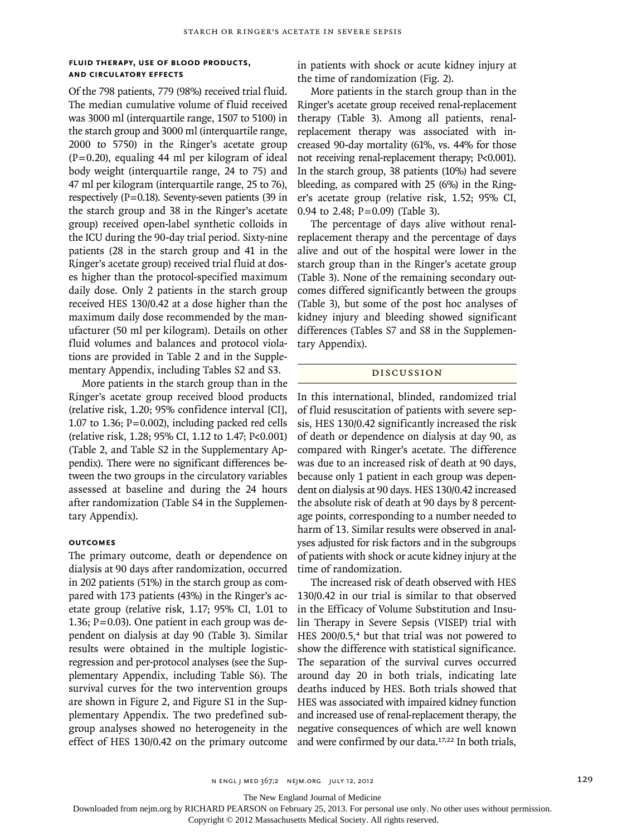# **Fluid Therapy, Use of Blood Products, and Circulatory Effects**

Of the 798 patients, 779 (98%) received trial fluid. The median cumulative volume of fluid received was 3000 ml (interquartile range, 1507 to 5100) in the starch group and 3000 ml (interquartile range, 2000 to 5750) in the Ringer's acetate group  $(P=0.20)$ , equaling 44 ml per kilogram of ideal body weight (interquartile range, 24 to 75) and 47 ml per kilogram (interquartile range, 25 to 76), respectively ( $P=0.18$ ). Seventy-seven patients (39 in the starch group and 38 in the Ringer's acetate group) received open-label synthetic colloids in the ICU during the 90-day trial period. Sixty-nine patients (28 in the starch group and 41 in the Ringer's acetate group) received trial fluid at doses higher than the protocol-specified maximum daily dose. Only 2 patients in the starch group received HES 130/0.42 at a dose higher than the maximum daily dose recommended by the manufacturer (50 ml per kilogram). Details on other fluid volumes and balances and protocol violations are provided in Table 2 and in the Supplementary Appendix, including Tables S2 and S3.

More patients in the starch group than in the Ringer's acetate group received blood products (relative risk, 1.20; 95% confidence interval [CI], 1.07 to 1.36;  $P=0.002$ ), including packed red cells (relative risk, 1.28; 95% CI, 1.12 to 1.47; P<0.001) (Table 2, and Table S2 in the Supplementary Appendix). There were no significant differences between the two groups in the circulatory variables assessed at baseline and during the 24 hours after randomization (Table S4 in the Supplementary Appendix).

# **Outcomes**

The primary outcome, death or dependence on dialysis at 90 days after randomization, occurred in 202 patients (51%) in the starch group as compared with 173 patients (43%) in the Ringer's acetate group (relative risk, 1.17; 95% CI, 1.01 to 1.36;  $P = 0.03$ ). One patient in each group was dependent on dialysis at day 90 (Table 3). Similar results were obtained in the multiple logisticregression and per-protocol analyses (see the Supplementary Appendix, including Table S6). The survival curves for the two intervention groups are shown in Figure 2, and Figure S1 in the Supplementary Appendix. The two predefined subgroup analyses showed no heterogeneity in the effect of HES 130/0.42 on the primary outcome in patients with shock or acute kidney injury at the time of randomization (Fig. 2).

More patients in the starch group than in the Ringer's acetate group received renal-replacement therapy (Table 3). Among all patients, renalreplacement therapy was associated with increased 90-day mortality (61%, vs. 44% for those not receiving renal-replacement therapy; P<0.001). In the starch group, 38 patients (10%) had severe bleeding, as compared with 25 (6%) in the Ringer's acetate group (relative risk, 1.52; 95% CI, 0.94 to 2.48; P=0.09) (Table 3).

The percentage of days alive without renalreplacement therapy and the percentage of days alive and out of the hospital were lower in the starch group than in the Ringer's acetate group (Table 3). None of the remaining secondary outcomes differed significantly between the groups (Table 3), but some of the post hoc analyses of kidney injury and bleeding showed significant differences (Tables S7 and S8 in the Supplementary Appendix).

### DISCUSSION

In this international, blinded, randomized trial of fluid resuscitation of patients with severe sepsis, HES 130/0.42 significantly increased the risk of death or dependence on dialysis at day 90, as compared with Ringer's acetate. The difference was due to an increased risk of death at 90 days, because only 1 patient in each group was dependent on dialysis at 90 days. HES 130/0.42 increased the absolute risk of death at 90 days by 8 percentage points, corresponding to a number needed to harm of 13. Similar results were observed in analyses adjusted for risk factors and in the subgroups of patients with shock or acute kidney injury at the time of randomization.

The increased risk of death observed with HES 130/0.42 in our trial is similar to that observed in the Efficacy of Volume Substitution and Insulin Therapy in Severe Sepsis (VISEP) trial with HES 200/0.5,<sup>4</sup> but that trial was not powered to show the difference with statistical significance. The separation of the survival curves occurred around day 20 in both trials, indicating late deaths induced by HES. Both trials showed that HES was associated with impaired kidney function and increased use of renal-replacement therapy, the negative consequences of which are well known and were confirmed by our data.17,22 In both trials,

The New England Journal of Medicine

Downloaded from nejm.org by RICHARD PEARSON on February 25, 2013. For personal use only. No other uses without permission.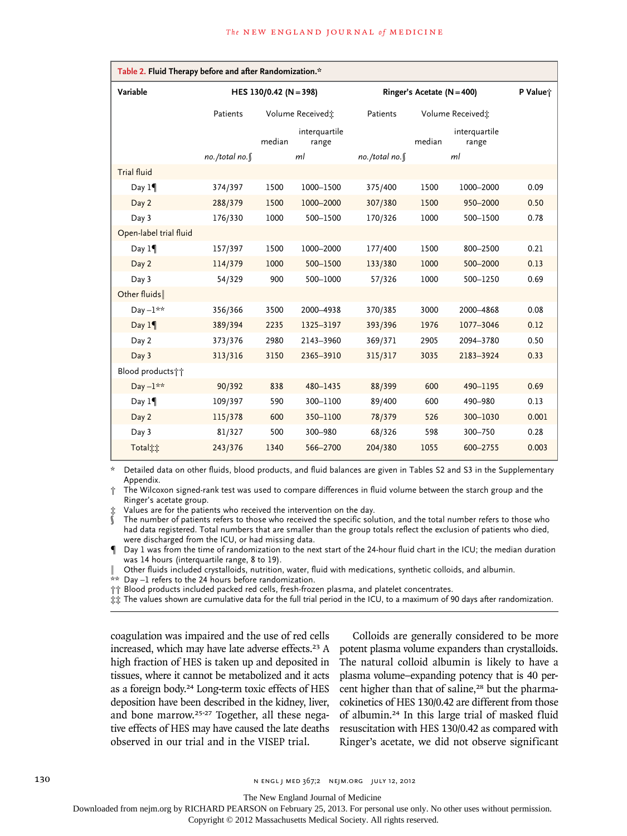| Table 2. Fluid Therapy before and after Randomization.* |                        |                              |                        |                                |        |                        |          |  |
|---------------------------------------------------------|------------------------|------------------------------|------------------------|--------------------------------|--------|------------------------|----------|--|
| Variable                                                | HES 130/0.42 (N = 398) |                              |                        | Ringer's Acetate ( $N = 400$ ) |        |                        | P Value; |  |
|                                                         | Patients               | Volume Received <sup>*</sup> |                        | Volume Received:<br>Patients   |        |                        |          |  |
|                                                         |                        | median                       | interquartile<br>range |                                | median | interquartile<br>range |          |  |
|                                                         | no./total no.¶         |                              | ml                     | no./total no.                  |        | ml                     |          |  |
| <b>Trial fluid</b>                                      |                        |                              |                        |                                |        |                        |          |  |
| Day $1\P$                                               | 374/397                | 1500                         | 1000-1500              | 375/400                        | 1500   | 1000-2000              | 0.09     |  |
| Day 2                                                   | 288/379                | 1500                         | 1000-2000              | 307/380                        | 1500   | 950-2000               | 0.50     |  |
| Day 3                                                   | 176/330                | 1000                         | 500-1500               | 170/326                        | 1000   | 500-1500               | 0.78     |  |
| Open-label trial fluid                                  |                        |                              |                        |                                |        |                        |          |  |
| Day $1\P$                                               | 157/397                | 1500                         | 1000-2000              | 177/400                        | 1500   | 800-2500               | 0.21     |  |
| Day 2                                                   | 114/379                | 1000                         | 500-1500               | 133/380                        | 1000   | 500-2000               | 0.13     |  |
| Day 3                                                   | 54/329                 | 900                          | 500-1000               | 57/326                         | 1000   | 500-1250               | 0.69     |  |
| Other fluids                                            |                        |                              |                        |                                |        |                        |          |  |
| Day $-1**$                                              | 356/366                | 3500                         | 2000-4938              | 370/385                        | 3000   | 2000-4868              | 0.08     |  |
| Day 1                                                   | 389/394                | 2235                         | 1325-3197              | 393/396                        | 1976   | 1077-3046              | 0.12     |  |
| Day 2                                                   | 373/376                | 2980                         | 2143-3960              | 369/371                        | 2905   | 2094-3780              | 0.50     |  |
| Day 3                                                   | 313/316                | 3150                         | 2365-3910              | 315/317                        | 3035   | 2183-3924              | 0.33     |  |
| Blood products <sup>++</sup>                            |                        |                              |                        |                                |        |                        |          |  |
| Day $-1**$                                              | 90/392                 | 838                          | 480-1435               | 88/399                         | 600    | 490-1195               | 0.69     |  |
| Day $1\P$                                               | 109/397                | 590                          | 300-1100               | 89/400                         | 600    | 490-980                | 0.13     |  |
| Day 2                                                   | 115/378                | 600                          | 350-1100               | 78/379                         | 526    | 300-1030               | 0.001    |  |
| Day 3                                                   | 81/327                 | 500                          | 300-980                | 68/326                         | 598    | 300-750                | 0.28     |  |
| <b>Total</b> <sup>*</sup>                               | 243/376                | 1340                         | 566-2700               | 204/380                        | 1055   | 600-2755               | 0.003    |  |

\* Detailed data on other fluids, blood products, and fluid balances are given in Tables S2 and S3 in the Supplementary Appendix.

† The Wilcoxon signed-rank test was used to compare differences in fluid volume between the starch group and the Ringer's acetate group.

Values are for the patients who received the intervention on the day.

The number of patients refers to those who received the specific solution, and the total number refers to those who had data registered. Total numbers that are smaller than the group totals reflect the exclusion of patients who died, were discharged from the ICU, or had missing data.

¶ Day 1 was from the time of randomization to the next start of the 24-hour fluid chart in the ICU; the median duration was 14 hours (interquartile range, 8 to 19).

‖ Other fluids included crystalloids, nutrition, water, fluid with medications, synthetic colloids, and albumin.

 $*$  Day –1 refers to the 24 hours before randomization.

†† Blood products included packed red cells, fresh-frozen plasma, and platelet concentrates.

‡‡ The values shown are cumulative data for the full trial period in the ICU, to a maximum of 90 days after randomization.

coagulation was impaired and the use of red cells increased, which may have late adverse effects.<sup>23</sup> A high fraction of HES is taken up and deposited in tissues, where it cannot be metabolized and it acts as a foreign body.<sup>24</sup> Long-term toxic effects of HES deposition have been described in the kidney, liver, and bone marrow.25-27 Together, all these negative effects of HES may have caused the late deaths observed in our trial and in the VISEP trial.

Colloids are generally considered to be more potent plasma volume expanders than crystalloids. The natural colloid albumin is likely to have a plasma volume–expanding potency that is 40 percent higher than that of saline,<sup>28</sup> but the pharmacokinetics of HES 130/0.42 are different from those of albumin.24 In this large trial of masked fluid resuscitation with HES 130/0.42 as compared with Ringer's acetate, we did not observe significant

The New England Journal of Medicine

Downloaded from nejm.org by RICHARD PEARSON on February 25, 2013. For personal use only. No other uses without permission.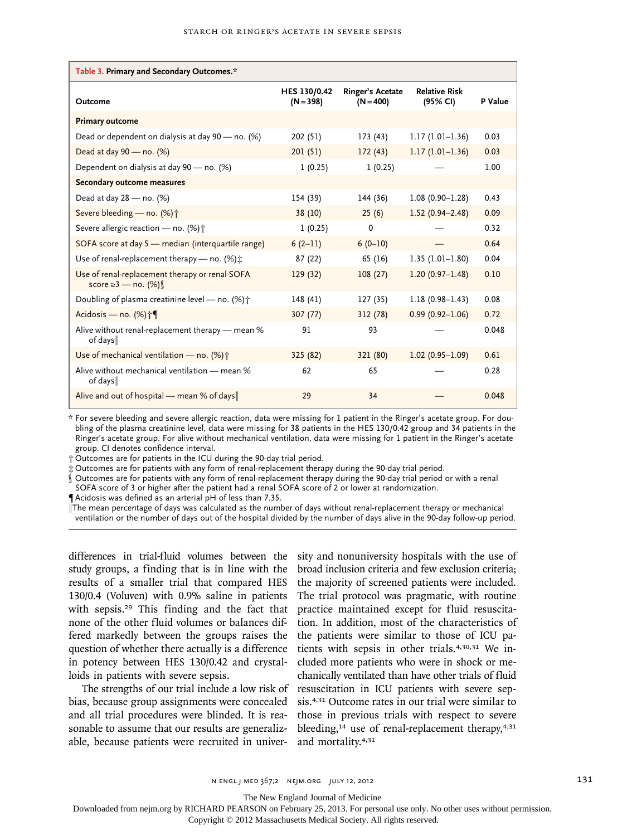| Table 3. Primary and Secondary Outcomes.*                              |                             |                                 |                                  |         |  |  |  |
|------------------------------------------------------------------------|-----------------------------|---------------------------------|----------------------------------|---------|--|--|--|
| Outcome                                                                | HES 130/0.42<br>$(N = 398)$ | Ringer's Acetate<br>$(N = 400)$ | <b>Relative Risk</b><br>(95% CI) | P Value |  |  |  |
| <b>Primary outcome</b>                                                 |                             |                                 |                                  |         |  |  |  |
| Dead or dependent on dialysis at day 90 - no. (%)                      | 202 (51)                    | 173(43)                         | $1.17(1.01-1.36)$                | 0.03    |  |  |  |
| Dead at day 90 - no. (%)                                               | 201(51)                     | 172(43)                         | $1.17(1.01-1.36)$                | 0.03    |  |  |  |
| Dependent on dialysis at day 90 - no. (%)                              | 1(0.25)                     | 1(0.25)                         |                                  | 1.00    |  |  |  |
| Secondary outcome measures                                             |                             |                                 |                                  |         |  |  |  |
| Dead at day 28 - no. (%)                                               | 154 (39)                    | 144 (36)                        | $1.08(0.90 - 1.28)$              | 0.43    |  |  |  |
| Severe bleeding - no. (%) <sup>+</sup>                                 | 38 (10)                     | 25(6)                           | $1.52(0.94 - 2.48)$              | 0.09    |  |  |  |
| Severe allergic reaction - no. (%) $\uparrow$                          | 1(0.25)                     | 0                               |                                  | 0.32    |  |  |  |
| SOFA score at day 5 - median (interquartile range)                     | $6(2-11)$                   | $6(0-10)$                       |                                  | 0.64    |  |  |  |
| Use of renal-replacement therapy — no. $(\%) \dot{x}$                  | 87 (22)                     | 65 (16)                         | $1.35(1.01-1.80)$                | 0.04    |  |  |  |
| Use of renal-replacement therapy or renal SOFA<br>score ≥3 — no. $(%)$ | 129(32)                     | 108(27)                         | $1.20(0.97 - 1.48)$              | 0.10    |  |  |  |
| Doubling of plasma creatinine level - no. $(\%)\uparrow$               | 148 (41)                    | 127 (35)                        | $1.18(0.98 - 1.43)$              | 0.08    |  |  |  |
| Acidosis - no. (%) +                                                   | 307(77)                     | 312 (78)                        | $0.99(0.92 - 1.06)$              | 0.72    |  |  |  |
| Alive without renal-replacement therapy — mean %<br>of days            | 91                          | 93                              |                                  | 0.048   |  |  |  |
| Use of mechanical ventilation - no. (%) $\uparrow$                     | 325 (82)                    | 321 (80)                        | $1.02(0.95 - 1.09)$              | 0.61    |  |  |  |
| Alive without mechanical ventilation - mean %<br>of days               | 62                          | 65                              |                                  | 0.28    |  |  |  |
| Alive and out of hospital - mean % of days                             | 29                          | 34                              |                                  | 0.048   |  |  |  |

\* For severe bleeding and severe allergic reaction, data were missing for 1 patient in the Ringer's acetate group. For doubling of the plasma creatinine level, data were missing for 38 patients in the HES 130/0.42 group and 34 patients in the Ringer's acetate group. For alive without mechanical ventilation, data were missing for 1 patient in the Ringer's acetate group. CI denotes confidence interval.

† Outcomes are for patients in the ICU during the 90-day trial period.

‡ Outcomes are for patients with any form of renal-replacement therapy during the 90-day trial period.

§ Outcomes are for patients with any form of renal-replacement therapy during the 90-day trial period or with a renal

SOFA score of 3 or higher after the patient had a renal SOFA score of 2 or lower at randomization.

¶Acidosis was defined as an arterial pH of less than 7.35.

‖The mean percentage of days was calculated as the number of days without renal-replacement therapy or mechanical ventilation or the number of days out of the hospital divided by the number of days alive in the 90-day follow-up period.

differences in trial-fluid volumes between the study groups, a finding that is in line with the results of a smaller trial that compared HES 130/0.4 (Voluven) with 0.9% saline in patients with sepsis.<sup>29</sup> This finding and the fact that none of the other fluid volumes or balances differed markedly between the groups raises the question of whether there actually is a difference in potency between HES 130/0.42 and crystalloids in patients with severe sepsis.

The strengths of our trial include a low risk of bias, because group assignments were concealed and all trial procedures were blinded. It is reasonable to assume that our results are generalizable, because patients were recruited in university and nonuniversity hospitals with the use of broad inclusion criteria and few exclusion criteria; the majority of screened patients were included. The trial protocol was pragmatic, with routine practice maintained except for fluid resuscitation. In addition, most of the characteristics of the patients were similar to those of ICU patients with sepsis in other trials.4,30,31 We included more patients who were in shock or mechanically ventilated than have other trials of fluid resuscitation in ICU patients with severe sepsis.4,31 Outcome rates in our trial were similar to those in previous trials with respect to severe bleeding, $14$  use of renal-replacement therapy, $4,31$ and mortality.4,31

The New England Journal of Medicine

Downloaded from nejm.org by RICHARD PEARSON on February 25, 2013. For personal use only. No other uses without permission.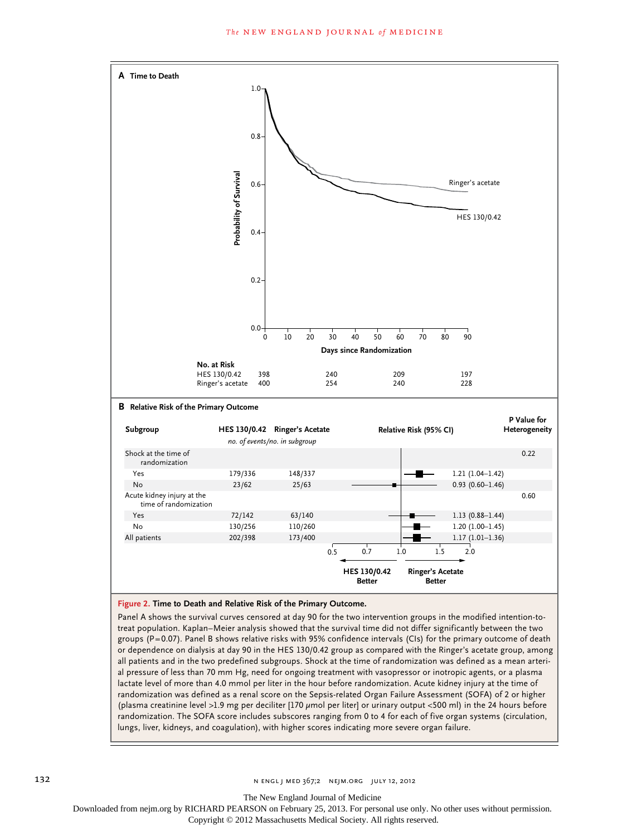

or dependence on dialysis at day 90 in the HES 130/0.42 group as compared with the Ringer's acetate group, among all patients and in the two predefined subgroups. Shock at the time of randomization was defined as a mean arterial pressure of less than 70 mm Hg, need for ongoing treatment with vasopressor or inotropic agents, or a plasma lactate level of more than 4.0 mmol per liter in the hour before randomization. Acute kidney injury at the time of randomization was defined as a renal score on the Sepsis-related Organ Failure Assessment (SOFA) of 2 or higher (plasma creatinine level >1.9 mg per deciliter [170 µmol per liter] or urinary output <500 ml) in the 24 hours before randomization. The SOFA score includes subscores ranging from 0 to 4 for each of five organ systems (circulation, lungs, liver, kidneys, and coagulation), with higher scores indicating more severe organ failure.

The New England Journal of Medicine

Downloaded from nejm.org by RICHARD PEARSON on February 25, 2013. For personal use only. No other uses without permission.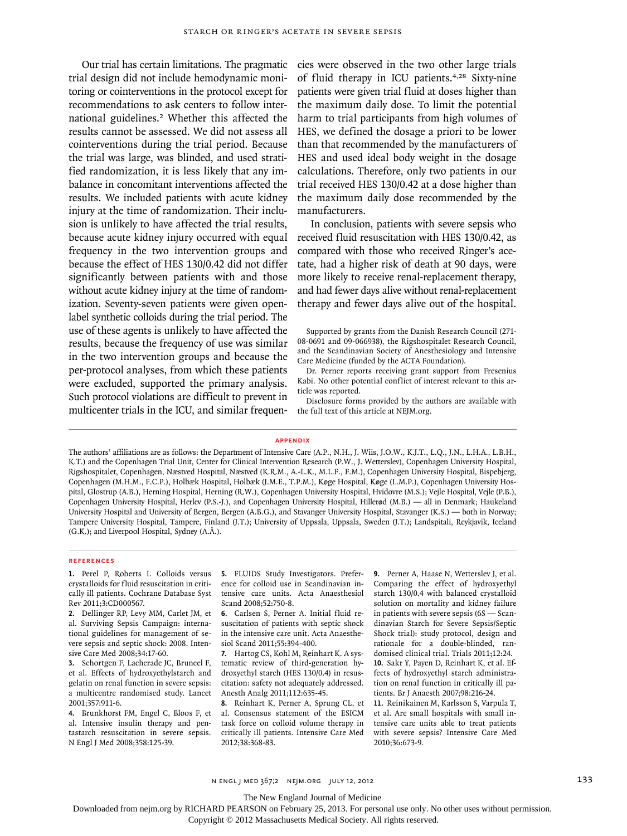Our trial has certain limitations. The pragmatic trial design did not include hemodynamic monitoring or cointerventions in the protocol except for recommendations to ask centers to follow international guidelines.<sup>2</sup> Whether this affected the results cannot be assessed. We did not assess all cointerventions during the trial period. Because the trial was large, was blinded, and used stratified randomization, it is less likely that any imbalance in concomitant interventions affected the results. We included patients with acute kidney injury at the time of randomization. Their inclusion is unlikely to have affected the trial results, because acute kidney injury occurred with equal frequency in the two intervention groups and because the effect of HES 130/0.42 did not differ significantly between patients with and those without acute kidney injury at the time of randomization. Seventy-seven patients were given openlabel synthetic colloids during the trial period. The use of these agents is unlikely to have affected the results, because the frequency of use was similar in the two intervention groups and because the per-protocol analyses, from which these patients were excluded, supported the primary analysis. Such protocol violations are difficult to prevent in multicenter trials in the ICU, and similar frequencies were observed in the two other large trials of fluid therapy in ICU patients.4,28 Sixty-nine patients were given trial fluid at doses higher than the maximum daily dose. To limit the potential harm to trial participants from high volumes of HES, we defined the dosage a priori to be lower than that recommended by the manufacturers of HES and used ideal body weight in the dosage calculations. Therefore, only two patients in our trial received HES 130/0.42 at a dose higher than the maximum daily dose recommended by the manufacturers.

In conclusion, patients with severe sepsis who received fluid resuscitation with HES 130/0.42, as compared with those who received Ringer's acetate, had a higher risk of death at 90 days, were more likely to receive renal-replacement therapy, and had fewer days alive without renal-replacement therapy and fewer days alive out of the hospital.

Disclosure forms provided by the authors are available with the full text of this article at NEJM.org.

#### **Appendix**

The authors' affiliations are as follows: the Department of Intensive Care (A.P., N.H., J. Wiis, J.O.W., K.J.T., L.Q., J.N., L.H.A., L.B.H., K.T.) and the Copenhagen Trial Unit, Center for Clinical Intervention Research (P.W., J. Wetterslev), Copenhagen University Hospital, Rigshospitalet, Copenhagen, Næstved Hospital, Næstved (K.R.M., A.-L.K., M.L.F., F.M.), Copenhagen University Hospital, Bispebjerg, Copenhagen (M.H.M., F.C.P.), Holbæk Hospital, Holbæk (J.M.E., T.P.M.), Køge Hospital, Køge (L.M.P.), Copenhagen University Hospital, Glostrup (A.B.), Herning Hospital, Herning (R.W.), Copenhagen University Hospital, Hvidovre (M.S.); Vejle Hospital, Vejle (P.B.), Copenhagen University Hospital, Herlev (P.S.-J.), and Copenhagen University Hospital, Hillerød (M.B.) — all in Denmark; Haukeland University Hospital and University of Bergen, Bergen (A.B.G.), and Stavanger University Hospital, Stavanger (K.S.) — both in Norway; Tampere University Hospital, Tampere, Finland (J.T.); University of Uppsala, Uppsala, Sweden (J.T.); Landspitali, Reykjavik, Iceland (G.K.); and Liverpool Hospital, Sydney (A.Å.).

#### **References**

**1.** Perel P, Roberts I. Colloids versus crystalloids for fluid resuscitation in critically ill patients. Cochrane Database Syst Rev 2011;3:CD000567.

**2.** Dellinger RP, Levy MM, Carlet JM, et al. Surviving Sepsis Campaign: international guidelines for management of severe sepsis and septic shock: 2008. Intensive Care Med 2008;34:17-60.

**3.** Schortgen F, Lacherade JC, Bruneel F, et al. Effects of hydroxyethylstarch and gelatin on renal function in severe sepsis: a multicentre randomised study. Lancet 2001;357:911-6.

**4.** Brunkhorst FM, Engel C, Bloos F, et al. Intensive insulin therapy and pentastarch resuscitation in severe sepsis. N Engl J Med 2008;358:125-39.

**5.** FLUIDS Study Investigators. Preference for colloid use in Scandinavian intensive care units. Acta Anaesthesiol Scand 2008;52:750-8.

**6.** Carlsen S, Perner A. Initial fluid resuscitation of patients with septic shock in the intensive care unit. Acta Anaesthesiol Scand 2011;55:394-400.

**7.** Hartog CS, Kohl M, Reinhart K. A systematic review of third-generation hydroxyethyl starch (HES 130/0.4) in resuscitation: safety not adequately addressed. Anesth Analg 2011;112:635-45.

**8.** Reinhart K, Perner A, Sprung CL, et al. Consensus statement of the ESICM task force on colloid volume therapy in critically ill patients. Intensive Care Med 2012;38:368-83.

**9.** Perner A, Haase N, Wetterslev J, et al. Comparing the effect of hydroxyethyl starch 130/0.4 with balanced crystalloid solution on mortality and kidney failure in patients with severe sepsis (6S — Scandinavian Starch for Severe Sepsis/Septic Shock trial): study protocol, design and rationale for a double-blinded, randomised clinical trial. Trials 2011;12:24. **10.** Sakr Y, Payen D, Reinhart K, et al. Effects of hydroxyethyl starch administration on renal function in critically ill patients. Br J Anaesth 2007;98:216-24.

**11.** Reinikainen M, Karlsson S, Varpula T, et al. Are small hospitals with small intensive care units able to treat patients with severe sepsis? Intensive Care Med 2010;36:673-9.

The New England Journal of Medicine

Downloaded from nejm.org by RICHARD PEARSON on February 25, 2013. For personal use only. No other uses without permission.

Supported by grants from the Danish Research Council (271- 08-0691 and 09-066938), the Rigshospitalet Research Council, and the Scandinavian Society of Anesthesiology and Intensive Care Medicine (funded by the ACTA Foundation).

Dr. Perner reports receiving grant support from Fresenius Kabi. No other potential conflict of interest relevant to this article was reported.